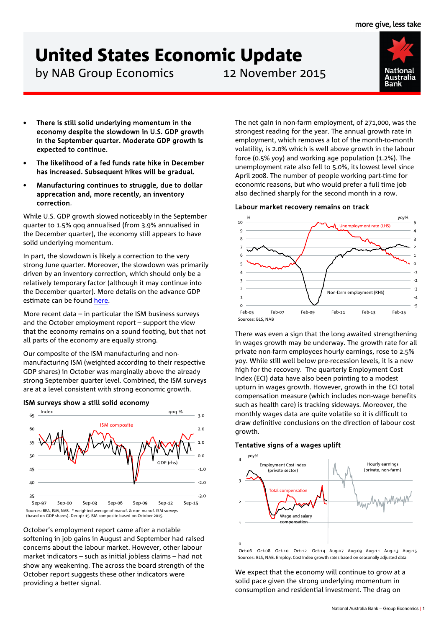# United States Economic Update

by NAB Group Economics 12 November 2015



- There is still solid underlying momentum in the economy despite the slowdown in U.S. GDP growth in the September quarter. Moderate GDP growth is expected to continue.
- The likelihood of a fed funds rate hike in December has increased. Subsequent hikes will be gradual.
- Manufacturing continues to struggle, due to dollar apprecation and, more recently, an inventory correction.

While U.S. GDP growth slowed noticeably in the September quarter to 1.5% qoq annualised (from 3.9% annualised in the December quarter), the economy still appears to have solid underlying momentum.

In part, the slowdown is likely a correction to the very strong June quarter. Moreover, the slowdown was primarily driven by an inventory correction, which should only be a relatively temporary factor (although it may continue into the December quarter). More details on the advance GDP estimate can be found [here.](http://business.nab.com.au/us-economic-update-us-gdp-q3-2015-13608/)

More recent data – in particular the ISM business surveys and the October employment report – support the view that the economy remains on a sound footing, but that not all parts of the economy are equally strong.

Our composite of the ISM manufacturing and nonmanufacturing ISM (weighted according to their respective GDP shares) in October was marginally above the already strong September quarter level. Combined, the ISM surveys are at a level consistent with strong economic growth.



ISM surveys show a still solid economy

October's employment report came after a notable softening in job gains in August and September had raised concerns about the labour market. However, other labour market indicators – such as initial jobless claims – had not show any weakening. The across the board strength of the October report suggests these other indicators were providing a better signal.

The net gain in non-farm employment, of 271,000, was the strongest reading for the year. The annual growth rate in employment, which removes a lot of the month-to-month volatility, is 2.0% which is well above growth in the labour force (0.5% yoy) and working age population (1.2%). The unemployment rate also fell to 5.0%, its lowest level since April 2008. The number of people working part-time for economic reasons, but who would prefer a full time job also declined sharply for the second month in a row.

# Labour market recovery remains on track



There was even a sign that the long awaited strengthening in wages growth may be underway. The growth rate for all private non-farm employees hourly earnings, rose to 2.5% yoy. While still well below pre-recession levels, it is a new high for the recovery. The quarterly Employment Cost Index (ECI) data have also been pointing to a modest upturn in wages growth. However, growth in the ECI total compensation measure (which includes non-wage benefits such as health care) is tracking sideways. Moreover, the monthly wages data are quite volatile so it is difficult to draw definitive conclusions on the direction of labour cost growth.

## Tentative signs of a wages uplift



Oct-06 Oct-08 Oct-10 Oct-12 Oct-14 Aug-07 Aug-09 Aug-11 Aug-13 Aug-15 Sources: BLS, NAB. Employ. Cost Index growth rates based on seasonally adjusted data

We expect that the economy will continue to grow at a solid pace given the strong underlying momentum in consumption and residential investment. The drag on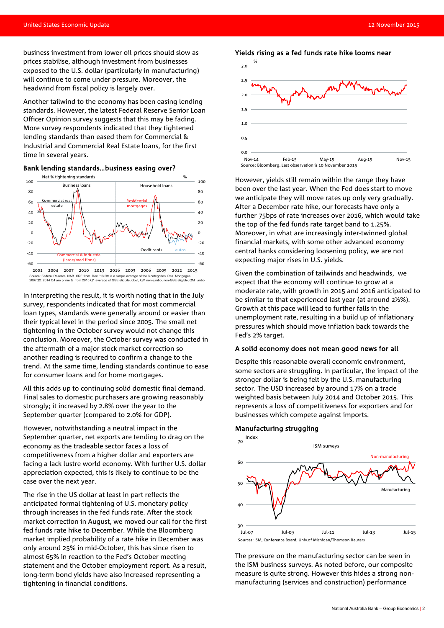business investment from lower oil prices should slow as prices stabilise, although investment from businesses exposed to the U.S. dollar (particularly in manufacturing) will continue to come under pressure. Moreover, the headwind from fiscal policy is largely over.

Another tailwind to the economy has been easing lending standards. However, the latest Federal Reserve Senior Loan Officer Opinion survey suggests that this may be fading. More survey respondents indicated that they tightened lending standards than eased them for Commercial & Industrial and Commercial Real Estate loans, for the first time in several years.

#### Bank lending standards…business easing over?



In interpreting the result, it is worth noting that in the July survey, respondents indicated that for most commercial loan types, standards were generally around or easier than their typical level in the period since 2005. The small net tightening in the October survey would not change this conclusion. Moreover, the October survey was conducted in the aftermath of a major stock market correction so another reading is required to confirm a change to the trend. At the same time, lending standards continue to ease for consumer loans and for home mortgages.

All this adds up to continuing solid domestic final demand. Final sales to domestic purchasers are growing reasonably strongly; it increased by 2.8% over the year to the September quarter (compared to 2.0% for GDP).

However, notwithstanding a neutral impact in the September quarter, net exports are tending to drag on the economy as the tradeable sector faces a loss of competitiveness from a higher dollar and exporters are facing a lack lustre world economy. With further U.S. dollar appreciation expected, this is likely to continue to be the case over the next year.

The rise in the US dollar at least in part reflects the anticipated formal tightening of U.S. monetary policy through increases in the fed funds rate. After the stock market correction in August, we moved our call for the first fed funds rate hike to December. While the Bloomberg market implied probability of a rate hike in December was only around 25% in mid-October, this has since risen to almost 65% in reaction to the Fed's October meeting statement and the October employment report. As a result, long-term bond yields have also increased representing a tightening in financial conditions.



However, yields still remain within the range they have been over the last year. When the Fed does start to move we anticipate they will move rates up only very gradually. After a December rate hike, our forecasts have only a further 75bps of rate increases over 2016, which would take the top of the fed funds rate target band to 1.25%. Moreover, in what are increasingly inter-twinned global financial markets, with some other advanced economy central banks considering loosening policy, we are not expecting major rises in U.S. yields.

Given the combination of tailwinds and headwinds, we expect that the economy will continue to grow at a moderate rate, with growth in 2015 and 2016 anticipated to be similar to that experienced last year (at around 2½%). Growth at this pace will lead to further falls in the unemployment rate, resulting in a build up of inflationary pressures which should move inflation back towards the Fed's 2% target.

#### A solid economy does not mean good news for all

Despite this reasonable overall economic environment, some sectors are struggling. In particular, the impact of the stronger dollar is being felt by the U.S. manufacturing sector. The USD increased by around 17% on a trade weighted basis between July 2014 and October 2015. This represents a loss of competitiveness for exporters and for businesses which compete against imports.

#### Manufacturing struggling



The pressure on the manufacturing sector can be seen in the ISM business surveys. As noted before, our composite measure is quite strong. However this hides a strong nonmanufacturing (services and construction) performance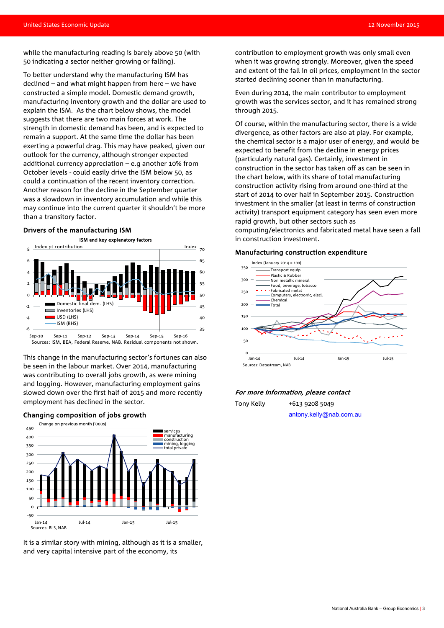while the manufacturing reading is barely above 50 (with 50 indicating a sector neither growing or falling).

To better understand why the manufacturing ISM has declined – and what might happen from here – we have constructed a simple model. Domestic demand growth, manufacturing inventory growth and the dollar are used to explain the ISM. As the chart below shows, the model suggests that there are two main forces at work. The strength in domestic demand has been, and is expected to remain a support. At the same time the dollar has been exerting a powerful drag. This may have peaked, given our outlook for the currency, although stronger expected additional currency appreciation – e.g another 10% from October levels - could easily drive the ISM below 50, as could a continuation of the recent inventory correction. Another reason for the decline in the September quarter was a slowdown in inventory accumulation and while this may continue into the current quarter it shouldn't be more than a transitory factor.

#### Drivers of the manufacturing ISM



Sources: ISM, BEA, Federal Reserve, NAB. Residual components not shown.

This change in the manufacturing sector's fortunes can also be seen in the labour market. Over 2014, manufacturing was contributing to overall jobs growth, as were mining and logging. However, manufacturing employment gains slowed down over the first half of 2015 and more recently employment has declined in the sector.



It is a similar story with mining, although as it is a smaller, and very capital intensive part of the economy, its

contribution to employment growth was only small even when it was growing strongly. Moreover, given the speed and extent of the fall in oil prices, employment in the sector started declining sooner than in manufacturing.

Even during 2014, the main contributor to employment growth was the services sector, and it has remained strong through 2015.

Of course, within the manufacturing sector, there is a wide divergence, as other factors are also at play. For example, the chemical sector is a major user of energy, and would be expected to benefit from the decline in energy prices (particularly natural gas). Certainly, investment in construction in the sector has taken off as can be seen in the chart below, with its share of total manufacturing construction activity rising from around one-third at the start of 2014 to over half in September 2015. Construction investment in the smaller (at least in terms of construction activity) transport equipment category has seen even more rapid growth, but other sectors such as computing/electronics and fabricated metal have seen a fall in construction investment.

#### Manufacturing construction expenditure



#### For more information, please contact

Tony Kelly +613 9208 5049 [antony.kelly@nab.com.au](mailto:antony.kelly@nab.com.au)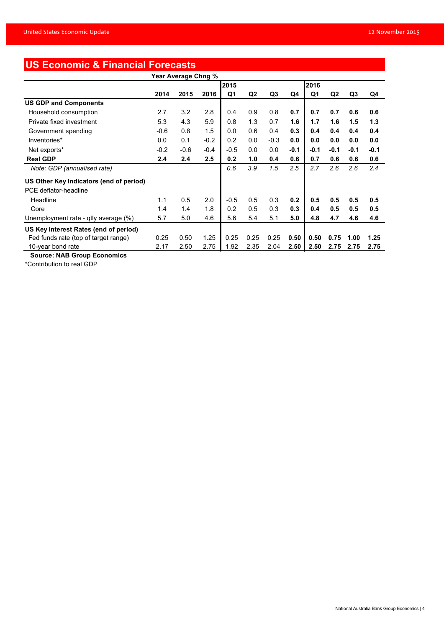# **US Economic & Financial Forecasts**

| Year Average Chng %                     |        |        |        |        |                |                |        |      |                |                |        |
|-----------------------------------------|--------|--------|--------|--------|----------------|----------------|--------|------|----------------|----------------|--------|
|                                         |        |        |        | 2015   |                |                |        | 2016 |                |                |        |
|                                         | 2014   | 2015   | 2016   | Q1     | Q <sub>2</sub> | Q <sub>3</sub> | Q4     | Q1   | Q <sub>2</sub> | Q <sub>3</sub> | Q4     |
| <b>US GDP and Components</b>            |        |        |        |        |                |                |        |      |                |                |        |
| Household consumption                   | 2.7    | 3.2    | 2.8    | 0.4    | 0.9            | 0.8            | 0.7    | 0.7  | 0.7            | 0.6            | 0.6    |
| Private fixed investment                | 5.3    | 4.3    | 5.9    | 0.8    | 1.3            | 0.7            | 1.6    | 1.7  | 1.6            | 1.5            | 1.3    |
| Government spending                     | $-0.6$ | 0.8    | 1.5    | 0.0    | 0.6            | 0.4            | 0.3    | 0.4  | 0.4            | 0.4            | 0.4    |
| Inventories*                            | 0.0    | 0.1    | $-0.2$ | 0.2    | 0.0            | $-0.3$         | 0.0    | 0.0  | 0.0            | 0.0            | 0.0    |
| Net exports*                            | $-0.2$ | $-0.6$ | $-0.4$ | $-0.5$ | 0.0            | 0.0            | $-0.1$ | -0.1 | $-0.1$         | $-0.1$         | $-0.1$ |
| <b>Real GDP</b>                         | 2.4    | 2.4    | 2.5    | 0.2    | 1.0            | 0.4            | 0.6    | 0.7  | 0.6            | 0.6            | 0.6    |
| Note: GDP (annualised rate)             |        |        |        | 0.6    | 3.9            | 1.5            | 2.5    | 2.7  | 2.6            | 2.6            | 2.4    |
| US Other Key Indicators (end of period) |        |        |        |        |                |                |        |      |                |                |        |
| PCE deflator-headline                   |        |        |        |        |                |                |        |      |                |                |        |
| Headline                                | 1.1    | 0.5    | 2.0    | $-0.5$ | 0.5            | 0.3            | 0.2    | 0.5  | 0.5            | 0.5            | 0.5    |
| Core                                    | 1.4    | 1.4    | 1.8    | 0.2    | 0.5            | 0.3            | 0.3    | 0.4  | 0.5            | 0.5            | 0.5    |
| Unemployment rate - qtly average (%)    | 5.7    | 5.0    | 4.6    | 5.6    | 5.4            | 5.1            | 5.0    | 4.8  | 4.7            | 4.6            | 4.6    |
| US Key Interest Rates (end of period)   |        |        |        |        |                |                |        |      |                |                |        |
| Fed funds rate (top of target range)    | 0.25   | 0.50   | 1.25   | 0.25   | 0.25           | 0.25           | 0.50   | 0.50 | 0.75           | 1.00           | 1.25   |
| 10-year bond rate                       | 2.17   | 2.50   | 2.75   | 1.92   | 2.35           | 2.04           | 2.50   | 2.50 | 2.75           | 2.75           | 2.75   |

 **Source: NAB Group Economics**

\*Contribution to real GDP